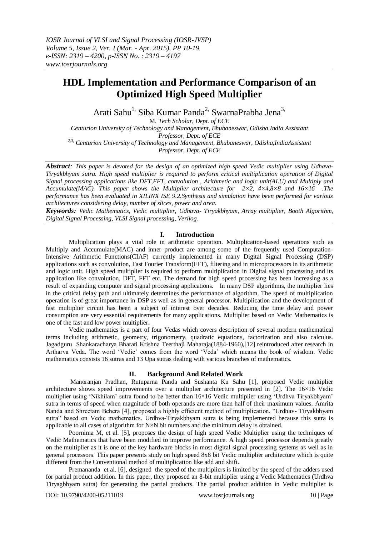# **HDL Implementation and Performance Comparison of an Optimized High Speed Multiplier**

Arati Sahu<sup>1,</sup> Siba Kumar Panda<sup>2,</sup> SwarnaPrabha Jena<sup>3,</sup>

M*. Tech Scholar, Dept. of ECE*

*Centurion University of Technology and Management, Bhubaneswar, Odisha,India Assistant Professor, Dept. of ECE 2,3, Centurion University of Technology and Management, Bhubaneswar, Odisha,IndiaAssistant Professor, Dept. of ECE*

*Abstract: This paper is devoted for the design of an optimized high speed Vedic multiplier using Udhava-Tiryakbhyam sutra. High speed multiplier is required to perform critical multiplication operation of Digital Signal processing applications like DFT,FFT, convolution , Arithmetic and logic unit(ALU) and Multiply and Accumulate(MAC). This paper shows the Multiplier architecture for 2×2, 4×4,8×8 and 16×16 .The performance has been evaluated in XILINX ISE 9.2.Synthesis and simulation have been performed for various architectures considering delay, number of slices, power and area.*

*Keywords: Vedic Mathematics, Vedic multiplier, Udhava- Tiryakbhyam, Array multiplier, Booth Algorithm, Digital Signal Processing, VLSI Signal processing, Verilog*.

# **I. Introduction**

Multiplication plays a vital role in arithmetic operation. Multiplication-based operations such as Multiply and Accumulate(MAC) and inner product are among some of the frequently used Computation-Intensive Arithmetic Functions(CIAF) currently implemented in many Digital Signal Processing (DSP) applications such as convolution, Fast Fourier Transform(FFT), filtering and in microprocessors in its arithmetic and logic unit. High speed multiplier is required to perform multiplication in Digital signal processing and its application like convolution, DFT, FFT etc. The demand for high speed processing has been increasing as a result of expanding computer and signal processing applications. In many DSP algorithms, the multiplier lies in the critical delay path and ultimately determines the performance of algorithm. The speed of multiplication operation is of great importance in DSP as well as in general processor. Multiplication and the development of fast multiplier circuit has been a subject of interest over decades. Reducing the time delay and power consumption are very essential requirements for many applications. Multiplier based on Vedic Mathematics is one of the fast and low power multiplier**.**

Vedic mathematics is a part of four Vedas which covers description of several modern mathematical terms including arithmetic, geometry, trigonometry, quadratic equations, factorization and also calculus. Jagadguru Shankaracharya Bharati Krishna Teerthaji Maharaja(1884-1960),[12] reintroduced after research in Artharva Veda. The word "Vedic" comes from the word "Veda" which means the book of wisdom. Vedic mathematics consists 16 sutras and 13 Upa sutras dealing with various branches of mathematics.

# **II. Background And Related Work**

Manoranjan Pradhan, Rutuparna Panda and Sushanta Ku Sahu [1], proposed Vedic multiplier architecture shows speed improvements over a multiplier architecture presented in [2]. The 16×16 Vedic multiplier using "Nikhilam" sutra found to be better than 16×16 Vedic multiplier using "Urdhva Tiryakbhyam" sutra in terms of speed when magnitude of both operands are more than half of their maximum values. Amrita Nanda and Shreetam Behera [4], proposed a highly efficient method of multiplication, "Urdhav- Tiryakbhyam sutra" based on Vedic mathematics. Urdhva-Tiryakbhyam sutra is being implemented because this sutra is applicable to all cases of algorithm for  $N \times N$  bit numbers and the minimum delay is obtained.

Poornima M, et al. [5], proposes the design of high speed Vedic Multiplier using the techniques of Vedic Mathematics that have been modified to improve performance. A high speed processor depends greatly on the multiplier as it is one of the key hardware blocks in most digital signal processing systems as well as in general processors. This paper presents study on high speed 8x8 bit Vedic multiplier architecture which is quite different from the Conventional method of multiplication like add and shift.

Premananda et al. [6], designed the speed of the multipliers is limited by the speed of the adders used for partial product addition. In this paper, they proposed an 8-bit multiplier using a Vedic Mathematics (Urdhva Tiryagbhyam sutra) for generating the partial products. The partial product addition in Vedic multiplier is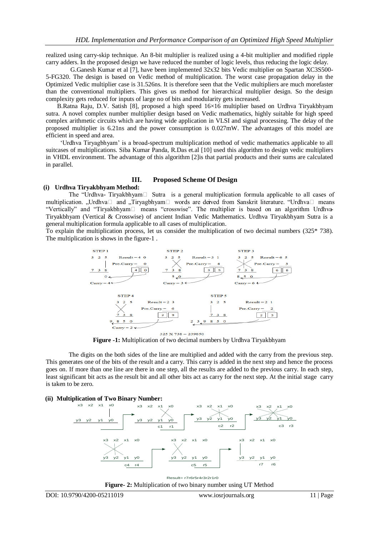realized using carry-skip technique. An 8-bit multiplier is realized using a 4-bit multiplier and modified ripple carry adders. In the proposed design we have reduced the number of logic levels, thus reducing the logic delay.

G.Ganesh Kumar et al [7], have been implemented 32x32 bits Vedic multiplier on Spartan XC3S500- 5-FG320. The design is based on Vedic method of multiplication. The worst case propagation delay in the Optimized Vedic multiplier case is 31.526ns. It is therefore seen that the Vedic multipliers are much morefaster than the conventional multipliers. This gives us method for hierarchical multiplier design. So the design complexity gets reduced for inputs of large no of bits and modularity gets increased.

 B.Ratna Raju, D.V. Satish [8], proposed a high speed 16×16 multiplier based on Urdhva Tiryakbhyam sutra. A novel complex number multiplier design based on Vedic mathematics, highly suitable for high speed complex arithmetic circuits which are having wide application in VLSI and signal processing. The delay of the proposed multiplier is 6.21ns and the power consumption is 0.027mW. The advantages of this model are efficient in speed and area.

 "Urdhva Tiryagbhyam" is a broad-spectrum multiplication method of vedic mathematics applicable to all suitcases of multiplications. Siba Kumar Panda, R.Das et.al [10] used this algorithm to design vedic multipliers in VHDL environment. The advantage of this algorithm [2]is that partial products and their sums are calculated in parallel.

#### **III. Proposed Scheme Of Design**

# **(i) Urdhva Tiryakbhyam Method:**

The "Urdhva- Tiryakbhyam $\Box$  Sutra is a general multiplication formula applicable to all cases of multiplication. "Urdhva $\Box$  and "Tiryagbhyam $\Box$  words are derived from Sanskrit literature. "Urdhva $\Box$  means "Vertically" and "Tiryakbhyam<sup>[1]</sup> means "crosswise". The multiplier is based on an algorithm Urdhva-Tiryakbhyam (Vertical & Crosswise) of ancient Indian Vedic Mathematics. Urdhva Tiryakbhyam Sutra is a general multiplication formula applicable to all cases of multiplication.

To explain the multiplication process, let us consider the multiplication of two decimal numbers (325\* 738). The multiplication is shows in the figure-1 .



**Figure -1:** Multiplication of two decimal numbers by Urdhva Tiryakbhyam

The digits on the both sides of the line are multiplied and added with the carry from the previous step. This generates one of the bits of the result and a carry. This carry is added in the next step and hence the process goes on. If more than one line are there in one step, all the results are added to the previous carry. In each step, least significant bit acts as the result bit and all other bits act as carry for the next step. At the initial stage carry is taken to be zero.

#### **(ii) Multiplication of Two Binary Number:**



Result= r7r6r5r4r3r2r1r0 **Figure- 2:** Multiplication of two binary number using UT Method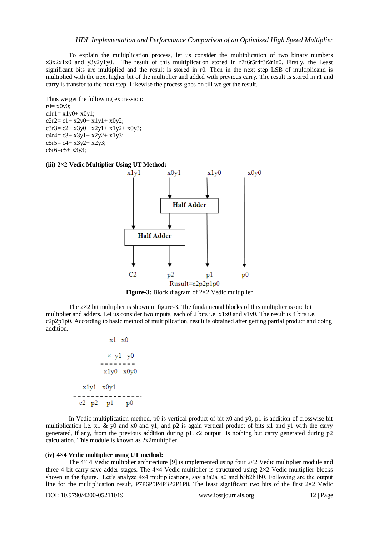To explain the multiplication process, let us consider the multiplication of two binary numbers x3x2x1x0 and y3y2y1y0. The result of this multiplication stored in r7r6r5r4r3r2r1r0. Firstly, the Least significant bits are multiplied and the result is stored in r0. Then in the next step LSB of multiplicand is multiplied with the next higher bit of the multiplier and added with previous carry. The result is stored in r1 and carry is transfer to the next step. Likewise the process goes on till we get the result.

Thus we get the following expression:  $r0 = x0y0;$  $clr1 = x1y0 + x0y1;$  $c2r2 = c1 + x2y0 + x1y1 + x0y2$ ;  $c3r3= c2 + x3y0 + x2y1 + x1y2 + x0y3;$  $c4r4 = c3 + x3y1 + x2y2 + x1y3$ ;  $c5r5 = c4 + x3y2 + x2y3$ ; c6r6=c5+ x3y3;

#### **(iii) 2×2 Vedic Multiplier Using UT Method:**



**Figure-3:** Block diagram of 2×2 Vedic multiplier

The  $2\times2$  bit multiplier is shown in figure-3. The fundamental blocks of this multiplier is one bit multiplier and adders. Let us consider two inputs, each of 2 bits i.e. x1x0 and y1y0. The result is 4 bits i.e. c2p2p1p0. According to basic method of multiplication, result is obtained after getting partial product and doing addition.

```
x1 \quad x0\times y1 y0
x1y0 x0y0x1y1 \quad x0y1c2 p2 p1p<sub>0</sub>
```
In Vedic multiplication method, p0 is vertical product of bit  $x0$  and  $y0$ , p1 is addition of crosswise bit multiplication i.e. x1 & y0 and x0 and y1, and p2 is again vertical product of bits x1 and y1 with the carry generated, if any, from the previous addition during p1. c2 output is nothing but carry generated during p2 calculation. This module is known as 2x2multiplier.

#### **(iv) 4×4 Vedic multiplier using UT method:**

The  $4\times$  4 Vedic multiplier architecture [9] is implemented using four  $2\times 2$  Vedic multiplier module and three 4 bit carry save adder stages. The 4×4 Vedic multiplier is structured using 2×2 Vedic multiplier blocks shown in the figure. Let's analyze 4x4 multiplications, say a3a2a1a0 and b3b2b1b0. Following are the output line for the multiplication result, P7P6P5P4P3P2P1P0. The least significant two bits of the first  $2\times2$  Vedic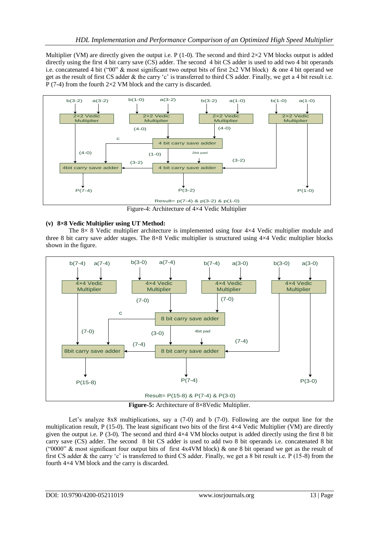Multiplier (VM) are directly given the output i.e. P (1-0). The second and third  $2\times2$  VM blocks output is added directly using the first 4 bit carry save (CS) adder. The second 4 bit CS adder is used to add two 4 bit operands i.e. concatenated 4 bit ("00" & most significant two output bits of first  $2x2$  VM block) & one 4 bit operand we get as the result of first CS adder & the carry "c" is transferred to third CS adder. Finally, we get a 4 bit result i.e. P (7-4) from the fourth  $2\times2$  VM block and the carry is discarded.



Figure-4: Architecture of 4×4 Vedic Multiplier

# **(v) 8×8 Vedic Multiplier using UT Method:**

The 8× 8 Vedic multiplier architecture is implemented using four 4×4 Vedic multiplier module and three 8 bit carry save adder stages. The 8×8 Vedic multiplier is structured using 4×4 Vedic multiplier blocks shown in the figure.



**Figure-5:** Architecture of 8×8Vedic Multiplier.

Let's analyze  $8x8$  multiplications, say a  $(7-0)$  and b  $(7-0)$ . Following are the output line for the multiplication result, P (15-0). The least significant two bits of the first  $4\times4$  Vedic Multiplier (VM) are directly given the output i.e. P (3-0). The second and third  $4\times4$  VM blocks output is added directly using the first 8 bit carry save (CS) adder. The second 8 bit CS adder is used to add two 8 bit operands i.e. concatenated 8 bit ("0000" & most significant four output bits of first  $4x4VM$  block) & one 8 bit operand we get as the result of first CS adder  $\&$  the carry 'c' is transferred to third CS adder. Finally, we get a 8 bit result i.e. P (15-8) from the fourth 4×4 VM block and the carry is discarded.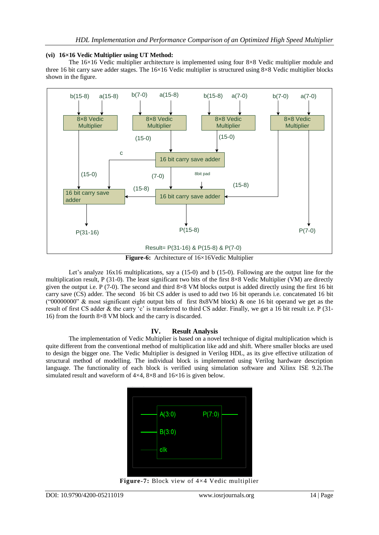## **(vi) 16×16 Vedic Multiplier using UT Method:**

The 16×16 Vedic multiplier architecture is implemented using four 8×8 Vedic multiplier module and three 16 bit carry save adder stages. The  $16\times16$  Vedic multiplier is structured using 8×8 Vedic multiplier blocks shown in the figure.



**Figure-6:** Architecture of 16×16Vedic Multiplier

Let's analyze 16x16 multiplications, say a (15-0) and b (15-0). Following are the output line for the multiplication result, P (31-0). The least significant two bits of the first 8×8 Vedic Multiplier (VM) are directly given the output i.e. P (7-0). The second and third  $8\times8$  VM blocks output is added directly using the first 16 bit carry save (CS) adder. The second 16 bit CS adder is used to add two 16 bit operands i.e. concatenated 16 bit ("00000000" & most significant eight output bits of first 8x8VM block) & one 16 bit operand we get as the result of first CS adder & the carry 'c' is transferred to third CS adder. Finally, we get a 16 bit result i.e. P (31-16) from the fourth 8×8 VM block and the carry is discarded.

# **IV. Result Analysis**

The implementation of Vedic Multiplier is based on a novel technique of digital multiplication which is quite different from the conventional method of multiplication like add and shift. Where smaller blocks are used to design the bigger one. The Vedic Multiplier is designed in Verilog HDL, as its give effective utilization of structural method of modelling. The individual block is implemented using Verilog hardware description language. The functionality of each block is verified using simulation software and Xilinx ISE 9.2i.The simulated result and waveform of 4×4, 8×8 and 16×16 is given below.



**Figure-7:** Block view of 4×4 Vedic multiplier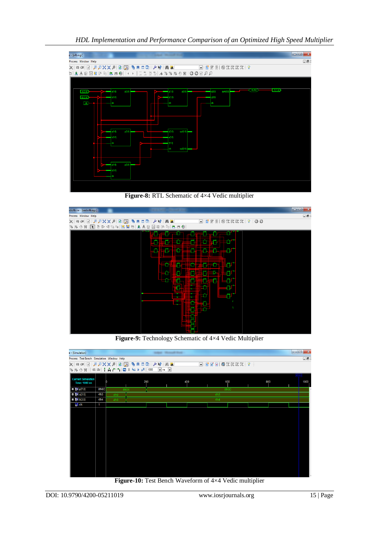*HDL Implementation and Performance Comparison of an Optimized High Speed Multiplier*



**Figure-8:** RTL Schematic of 4×4 Vedic multiplier



**Figure-9:** Technology Schematic of 4×4 Vedic Multiplier



**Figure-10:** Test Bench Waveform of 4×4 Vedic multiplier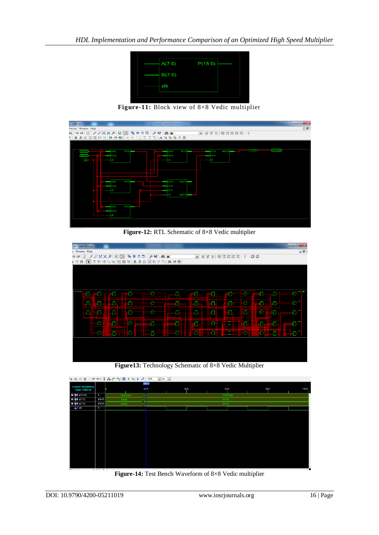

**Figure-11:** Block view of 8×8 Vedic multiplier



**Figure-12:** RTL Schematic of 8×8 Vedic multiplier

| $\Box$<br>s Window Help<br><b>卷乳乳乳乳100</b><br>$\Box$ $\Box$ $\Box$ $\Box$ $\Box$ $\Box$ $\Box$<br>电日 II D A M A M M<br>$\blacksquare$<br>$\Box$ ifferei<br><b>ka</b> (al<br>【1】むゆくたっ 医畜わ 主人政國相比的 三三〇<br>邀<br>$2 \oplus$<br>Ð<br>۳.<br>O<br>3<br>21<br>ч<br>llini<br>÷<br>nd<br>÷.<br>Π<br>F1<br>F<br>أكوري<br>O.<br>١ō.<br>ţÑ.<br><b>Lin</b><br><u>tolleto lait</u><br>E SHI<br>$\bullet$<br>n<br>o<br>511<br>أكأأكأنا<br>ЕC<br>-0 | .ise - [vedic8b.ngc] |  |  |  |
|------------------------------------------------------------------------------------------------------------------------------------------------------------------------------------------------------------------------------------------------------------------------------------------------------------------------------------------------------------------------------------------------------------------------------------|----------------------|--|--|--|
|                                                                                                                                                                                                                                                                                                                                                                                                                                    |                      |  |  |  |
|                                                                                                                                                                                                                                                                                                                                                                                                                                    |                      |  |  |  |
|                                                                                                                                                                                                                                                                                                                                                                                                                                    |                      |  |  |  |
|                                                                                                                                                                                                                                                                                                                                                                                                                                    |                      |  |  |  |
|                                                                                                                                                                                                                                                                                                                                                                                                                                    |                      |  |  |  |
|                                                                                                                                                                                                                                                                                                                                                                                                                                    |                      |  |  |  |
|                                                                                                                                                                                                                                                                                                                                                                                                                                    |                      |  |  |  |
|                                                                                                                                                                                                                                                                                                                                                                                                                                    |                      |  |  |  |
|                                                                                                                                                                                                                                                                                                                                                                                                                                    |                      |  |  |  |
|                                                                                                                                                                                                                                                                                                                                                                                                                                    |                      |  |  |  |
|                                                                                                                                                                                                                                                                                                                                                                                                                                    |                      |  |  |  |
|                                                                                                                                                                                                                                                                                                                                                                                                                                    |                      |  |  |  |
|                                                                                                                                                                                                                                                                                                                                                                                                                                    |                      |  |  |  |
|                                                                                                                                                                                                                                                                                                                                                                                                                                    |                      |  |  |  |
|                                                                                                                                                                                                                                                                                                                                                                                                                                    |                      |  |  |  |
|                                                                                                                                                                                                                                                                                                                                                                                                                                    |                      |  |  |  |
|                                                                                                                                                                                                                                                                                                                                                                                                                                    |                      |  |  |  |
|                                                                                                                                                                                                                                                                                                                                                                                                                                    |                      |  |  |  |
|                                                                                                                                                                                                                                                                                                                                                                                                                                    |                      |  |  |  |

**Figure13:** Technology Schematic of 8×8 Vedic Multiplier



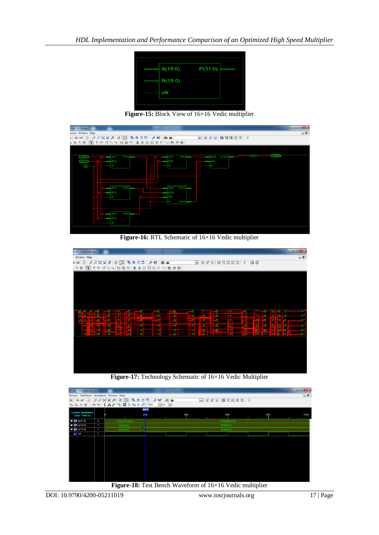

**Figure-15:** Block View of 16×16 Vedic multiplier

| t.ise - [v16b.ngr]<br>__                                                                | $\overline{\phantom{a}}$<br>$\mathbf{x}$ |
|-----------------------------------------------------------------------------------------|------------------------------------------|
| ocess Window Help                                                                       | $\Box$                                   |
| ■ 百百日 博克斯美女 8                                                                           |                                          |
| 1为心义:[1] かレイ物に   五番石  土人取 医胎 1-1 ( 土土の)                                                 |                                          |
|                                                                                         |                                          |
|                                                                                         |                                          |
| <b>CAUS</b><br>P(15.0)<br>d(15.0)<br>op1(15.0)<br>P(15,0)<br>A(15.0)<br>A(7:0)<br>(7.0) | P(310)                                   |
| E(150)<br>e(7.0)<br>B(7.0)<br>37 O                                                      |                                          |
| <b>Tek</b>                                                                              |                                          |
|                                                                                         |                                          |
|                                                                                         |                                          |
|                                                                                         |                                          |
| op1(7:0)<br>P(150)<br>A(7.0)<br>(15.0)                                                  |                                          |
| (150)<br>87.O                                                                           |                                          |
| (7:0)                                                                                   |                                          |
| op2(7:0)<br>t.                                                                          |                                          |
|                                                                                         |                                          |
|                                                                                         |                                          |
| P(150)<br>V7.0)                                                                         |                                          |
| 70                                                                                      |                                          |
|                                                                                         |                                          |
|                                                                                         |                                          |

**Figure-16:** RTL Schematic of 16×16 Vedic multiplier

| b.ise - [vedic16b.ngc]                                                                                                      | $\mathbf{x}$<br>فاد                                                                  |
|-----------------------------------------------------------------------------------------------------------------------------|--------------------------------------------------------------------------------------|
| Window Help                                                                                                                 | $\Box\Xi$                                                                            |
| <b>DIAPXXA</b><br>私目 田口 ノ<br>$\blacksquare$<br>$\mathbf{k}$<br><b>M</b><br>3 @                                              | 第7 『『 マ 』 ままだ第<br>$\blacksquare$ ifferei                                             |
| 1  センタも中  五番右  主人お返店ドリ  生まる <br>巡<br>. ⊕                                                                                    |                                                                                      |
|                                                                                                                             |                                                                                      |
|                                                                                                                             |                                                                                      |
|                                                                                                                             |                                                                                      |
|                                                                                                                             |                                                                                      |
|                                                                                                                             |                                                                                      |
|                                                                                                                             |                                                                                      |
|                                                                                                                             |                                                                                      |
|                                                                                                                             |                                                                                      |
| ø,<br>$-1$<br>$\mathbf{B}$ , $\mathbf{B}$ ,<br>- 0<br>- -<br>ъ.<br>-8<br>œ<br>- 1                                           | - 8<br>$\mathbb{R}^3$<br>o٠<br>t                                                     |
| ō<br>ō<br>ō<br>n                                                                                                            | F<br>$\overline{\phantom{a}}$                                                        |
| Ъ<br>ō<br>ō<br>$-1$<br>Ð                                                                                                    | B<br>Þ<br>n<br>- 0<br>目面<br>-6<br>- 1<br>Б                                           |
| ÷                                                                                                                           | ā.<br>-6<br>ō                                                                        |
| to let be<br>$-500$<br>ia<br>Iala<br><u> 1851 - Jan</u><br>1851 - John John<br><b>ه ک</b><br>$\overline{\phantom{a}}$<br>ø. | Ŧ<br>ā,<br><u>kali II. secara ja</u> r<br>ā<br>Ē<br>Ŧ<br>٥<br>Ξ<br><b>Table 1987</b> |
|                                                                                                                             |                                                                                      |
|                                                                                                                             |                                                                                      |
|                                                                                                                             |                                                                                      |
|                                                                                                                             |                                                                                      |
|                                                                                                                             |                                                                                      |
|                                                                                                                             |                                                                                      |
|                                                                                                                             |                                                                                      |
|                                                                                                                             |                                                                                      |

**Figure-17:** Technology Schematic of 16×16 Vedic Multiplier

| bit.ise - [Simulation]                                            |   |                                                                                                                                                                                                                                                                                                                                                          |              | ______                                    |     |          |               |   |     |      |
|-------------------------------------------------------------------|---|----------------------------------------------------------------------------------------------------------------------------------------------------------------------------------------------------------------------------------------------------------------------------------------------------------------------------------------------------------|--------------|-------------------------------------------|-----|----------|---------------|---|-----|------|
| $\square$<br>Process Test Bench Simulation Window Help            |   |                                                                                                                                                                                                                                                                                                                                                          |              |                                           |     |          |               |   |     |      |
|                                                                   |   | $\begin{picture}(130,10) \put(0,0){\line(1,0){10}} \put(0,0){\line(1,0){10}} \put(0,0){\line(1,0){10}} \put(0,0){\line(1,0){10}} \put(0,0){\line(1,0){10}} \put(0,0){\line(1,0){10}} \put(0,0){\line(1,0){10}} \put(0,0){\line(1,0){10}} \put(0,0){\line(1,0){10}} \put(0,0){\line(1,0){10}} \put(0,0){\line(1,0){10}} \put(0,0){\line(1,0){10}} \put(0$ |              |                                           |     |          | □ 百日日 尊ままます ? |   |     |      |
| %%◎※   亡士  ↑ ☆ ↑ ↑   □    도▶   2   1000<br>$\bullet$ ns $\bullet$ |   |                                                                                                                                                                                                                                                                                                                                                          |              |                                           |     |          |               |   |     |      |
| <b>Current Simulation</b><br><b>Time: 1000 ns</b>                 |   |                                                                                                                                                                                                                                                                                                                                                          | 200.0<br>200 |                                           | 400 |          | 600           |   | 800 | 1000 |
| D <b>BA</b> p(31:0)                                               | 3 | 32'hXXXXXXXX                                                                                                                                                                                                                                                                                                                                             |              |                                           |     |          | 32'h00000120  |   |     |      |
| <b>EL 64 a[15:0]</b>                                              | 1 | 16'h0000                                                                                                                                                                                                                                                                                                                                                 |              |                                           |     | 16'h0010 |               |   |     |      |
| <b>□ 6 b[15:0]</b>                                                | 1 | 16'h0000                                                                                                                                                                                                                                                                                                                                                 |              |                                           |     | 16'h0012 |               |   |     |      |
| ö <mark>∬</mark> clk                                              | 1 |                                                                                                                                                                                                                                                                                                                                                          |              |                                           |     |          |               |   |     |      |
|                                                                   |   |                                                                                                                                                                                                                                                                                                                                                          |              |                                           |     |          |               |   |     |      |
|                                                                   |   |                                                                                                                                                                                                                                                                                                                                                          |              |                                           |     |          |               |   |     |      |
|                                                                   |   |                                                                                                                                                                                                                                                                                                                                                          |              |                                           |     |          |               |   |     |      |
|                                                                   |   |                                                                                                                                                                                                                                                                                                                                                          |              |                                           |     |          |               |   |     |      |
|                                                                   |   |                                                                                                                                                                                                                                                                                                                                                          |              |                                           |     |          |               |   |     |      |
|                                                                   |   |                                                                                                                                                                                                                                                                                                                                                          |              |                                           |     |          |               |   |     |      |
|                                                                   |   |                                                                                                                                                                                                                                                                                                                                                          |              |                                           |     |          |               |   |     |      |
|                                                                   |   |                                                                                                                                                                                                                                                                                                                                                          |              |                                           |     |          |               |   |     |      |
|                                                                   |   |                                                                                                                                                                                                                                                                                                                                                          |              |                                           |     |          |               |   |     |      |
|                                                                   |   |                                                                                                                                                                                                                                                                                                                                                          |              |                                           |     |          |               |   |     |      |
|                                                                   |   |                                                                                                                                                                                                                                                                                                                                                          |              |                                           |     |          |               |   |     |      |
|                                                                   |   | $\sim$<br>$\sim$ $\sim$                                                                                                                                                                                                                                                                                                                                  |              | $\sim$ $\sim$ $\sim$ $\sim$ $\sim$ $\sim$ |     |          |               | . |     |      |

**Figure-18:** Test Bench Waveform of 16×16 Vedic multiplier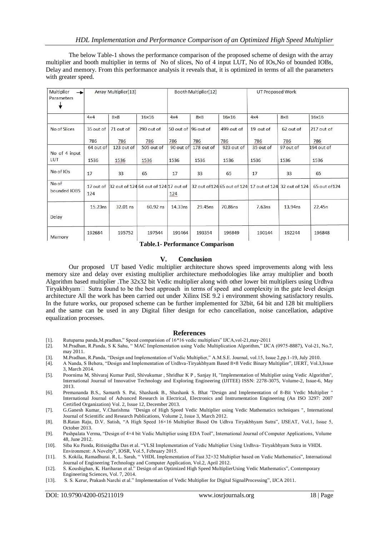The below Table-1 shows the performance comparison of the proposed scheme of design with the array multiplier and booth multiplier in terms of No of slices, No of 4 input LUT, No of IOs,No of bounded IOBs, Delay and memory. From this performance analysis it reveals that, it is optimized in terms of all the parameters with greater speed.

| Multiplier<br>Parameters | Array Multiplier[13]<br>$\rightarrow$ |            |                                                 | Booth Multiplier[12] |                     |              | <b>UT Proposed Work</b> |                                                         |               |
|--------------------------|---------------------------------------|------------|-------------------------------------------------|----------------------|---------------------|--------------|-------------------------|---------------------------------------------------------|---------------|
|                          | $4\times4$                            | $8\times8$ | $16\times16$                                    | $4\times4$           | $8\times8$          | $16\times16$ | $4\times4$              | $8\times8$                                              | $16\times16$  |
| No of Slices             | 35 out of                             | 71 out of  | 290 out of                                      |                      | 50 out of 96 out of | 499 out of   | 19 out of               | 62 out of                                               | 217 out of    |
|                          | 786                                   | 786        | 786                                             | 786                  | 786                 | 786          | 786                     | 786                                                     | 786           |
| No of 4 input            | 64 out of                             | 123 out of | 505 out of                                      | 90 out of            | 178 out of          | 923 out of   | 35 out of               | 97 out of                                               | 194 out of    |
| LUT                      | 1536                                  | 1536       | 1536                                            | 1536                 | 1536                | 1536         | 1536                    | 1536                                                    | 1536          |
| No of IOs                | 17                                    | 33         | 65                                              | 17                   | 33                  | 65           | 17                      | 33                                                      | 65            |
| No of<br>bounded IOBS    | 124                                   |            | 17 out of 32 out of 124 64 out of 124 17 out of | 124                  |                     |              |                         | 32 out of 124 65 out of 124 17 out of 124 32 out of 124 | 65 out of 124 |
| Delay                    | 15.23ns                               | 32.01 ns   | 60.92 ns                                        | 14.33ns              | 29.45ns             | 70.86ns      | 7.63ns                  | 13.94ns                                                 | 22.45n        |
| Memory                   | 192684                                | 195752     | 197544                                          | 191464               | 193354              | 196849       | 190144                  | 192244                                                  | 196848        |

**Table.1- Performance Comparison** 

## **V. Conclusion**

Our proposed UT based Vedic multiplier architecture shows speed improvements along with less memory size and delay over existing multiplier architecture methodologies like array multiplier and booth Algorithm based multiplier .The 32x32 bit Vedic multiplier along with other lower bit multipliers using Urdhva Tiryakbhyam $\Box$  Sutra found to be the best approach in terms of speed and complexity in the gate level design architecture All the work has been carried out under Xilinx ISE 9.2 i environment showing satisfactory results. In the future works, our proposed scheme can be further implemented for 32bit, 64 bit and 128 bit multipliers and the same can be used in any Digital filter design for echo cancellation, noise cancellation, adaptive equalization processes.

#### **References**

- [1]. Rutuparna panda,M.pradhan," Speed comparision of 16\*16 vedic multipliers" IJCA,vol-21,may-2011
- [2]. M.Pradhan, R.Panda, S K Sahu, " MAC Implementation using Vedic Multiplication Algorithm," IJCA (0975-8887), Vol-21, No.7, may 2011.
- [3]. M.Pradhan, R.Panda, "Design and Implementation of Vedic Multiplier," A.M.S.E. Journal, vol.15, Issue 2,pp.1-19, July 2010.
- [4]. A Nanda, S Behera, "Design and Implementation of Urdhva-Tiryakbhyam Based 8×8 Vedic Binary Multiplier", IJERT, Vol.3,Issue 3, March 2014.
- [5]. Poornima M, Shivaraj Kumar Patil, Shivukumar , Shridhar K P , Sanjay H, "Implementation of Multiplier using Vedic Algorithm", International Journal of Innovative Technology and Exploring Engineering (IJITEE) ISSN: 2278-3075, Volume-2, Issue-6, May 2013.
- [6]. Premananda B.S., Samarth S. Pai, Shashank B., Shashank S. Bhat "Design and Implementation of 8-Bit Vedic Multiplier " International Journal of Advanced Research in Electrical, Electronics and Instrumentation Engineering (An ISO 3297: 2007 Certified Organization) Vol. 2, Issue 12, December 2013.
- [7]. G.Ganesh Kumar, V.Charishma "Design of High Speed Vedic Multiplier using Vedic Mathematics techniques ", International Journal of Scientific and Research Publications, Volume 2, Issue 3, March 2012.
- [8]. B.Ratan Raju, D.V. Satish, "A High Speed 16×16 Multiplier Based On Udhva Tiryakbhyam Sutra", IJSEAT, Vol.1, Issue 5, October 2013.
- [9]. Pushpalata Verma, "Design of 4×4 bit Vedic Multiplier using EDA Tool", International Journal of Computer Applications, Volume 48, June 2012.
- [10]. Siba Ku Panda, Ritisnigdha Das et al. "VLSI Implementation of Vedic Multiplier Using Urdhva- Tiryakbhyam Sutra in VHDL Environment: A Novelty", IOSR, Vol.5, February 2015.
- [11]. S. Kokila, Ramadhurai. R, L. Sarah, " VHDL Implementation of Fast 32×32 Multiplier based on Vedic Mathematics", International Journal of Engineering Technology and Computer Application, Vol.2, April 2012.
- [12]. S. Koushighan, K. Hariharan et al." Design of an Optimized High Speed MultiplierUsing Vedic Mathematics", Contemporary Engineering Sciences, Vol. 7, 2014.
- [13]. S. S. Kerur, Prakash Narchi et al." Implementation of Vedic Multiplier for Digital SignalProcessing", IJCA 2011.